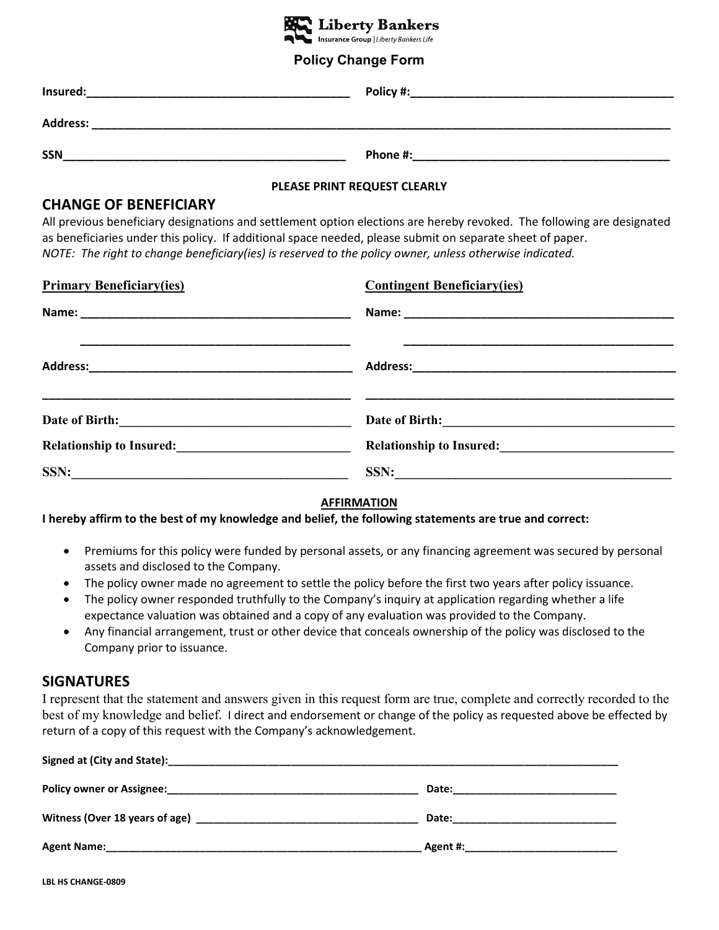

#### **Policy Change Form**

| Insured:   | Policy #: |
|------------|-----------|
| Address:   |           |
| <b>SSN</b> | Phone #:  |

#### **PLEASE PRINT REQUEST CLEARLY**

#### **CHANGE OF BENEFICIARY**

All previous beneficiary designations and settlement option elections are hereby revoked. The following are designated as beneficiaries under this policy. If additional space needed, please submit on separate sheet of paper. *NOTE: The right to change beneficiary(ies) is reserved to the policy owner, unless otherwise indicated.*

| <b>Primary Beneficiary(ies)</b>                                                                                                                                                                                                        | <b>Contingent Beneficiary(ies)</b>                                                                                                                                                                                                     |
|----------------------------------------------------------------------------------------------------------------------------------------------------------------------------------------------------------------------------------------|----------------------------------------------------------------------------------------------------------------------------------------------------------------------------------------------------------------------------------------|
|                                                                                                                                                                                                                                        |                                                                                                                                                                                                                                        |
|                                                                                                                                                                                                                                        |                                                                                                                                                                                                                                        |
|                                                                                                                                                                                                                                        |                                                                                                                                                                                                                                        |
| Relationship to Insured:<br><u>Letting and the set of the set of the set of the set of the set of the set of the set of the set of the set of the set of the set of the set of the set of the set of the set of the set of the set</u> | Relationship to Insured:<br><u>Letting and the set of the set of the set of the set of the set of the set of the set of the set of the set of the set of the set of the set of the set of the set of the set of the set of the set</u> |
|                                                                                                                                                                                                                                        | SSN:                                                                                                                                                                                                                                   |

#### **AFFIRMATION**

**I hereby affirm to the best of my knowledge and belief, the following statements are true and correct:**

- Premiums for this policy were funded by personal assets, or any financing agreement was secured by personal assets and disclosed to the Company.
- The policy owner made no agreement to settle the policy before the first two years after policy issuance.
- The policy owner responded truthfully to the Company's inquiry at application regarding whether a life expectance valuation was obtained and a copy of any evaluation was provided to the Company.
- Any financial arrangement, trust or other device that conceals ownership of the policy was disclosed to the Company prior to issuance.

#### **SIGNATURES**

I represent that the statement and answers given in this request form are true, complete and correctly recorded to the best of my knowledge and belief. I direct and endorsement or change of the policy as requested above be effected by return of a copy of this request with the Company's acknowledgement.

|                    | Date:    |
|--------------------|----------|
| <b>Agent Name:</b> | Agent #: |